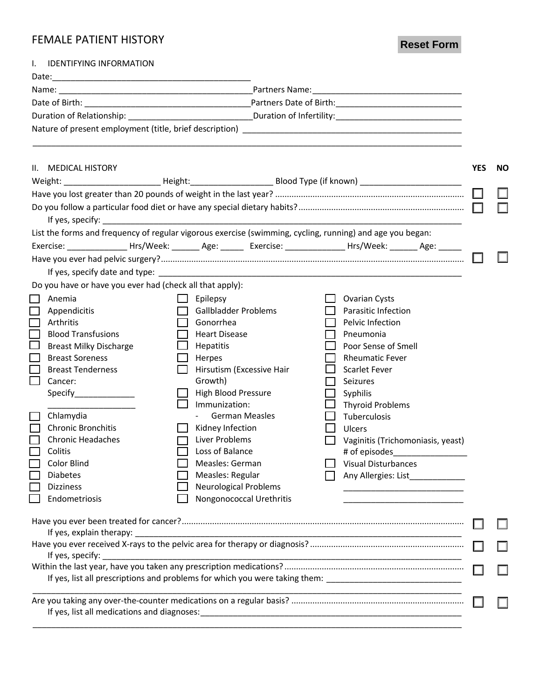## FEMALE PATIENT HISTORY

**Reset Form**

| I.               | <b>IDENTIFYING INFORMATION</b>                                                                                 |                |                                                  |  |                                                                                                                |            |           |
|------------------|----------------------------------------------------------------------------------------------------------------|----------------|--------------------------------------------------|--|----------------------------------------------------------------------------------------------------------------|------------|-----------|
|                  |                                                                                                                |                |                                                  |  |                                                                                                                |            |           |
|                  |                                                                                                                |                |                                                  |  |                                                                                                                |            |           |
|                  |                                                                                                                |                |                                                  |  |                                                                                                                |            |           |
|                  |                                                                                                                |                |                                                  |  |                                                                                                                |            |           |
|                  |                                                                                                                |                |                                                  |  |                                                                                                                |            |           |
|                  | II. MEDICAL HISTORY<br>Weight: Neight: Neight: Neight: Blood Type (if known)                                   |                |                                                  |  |                                                                                                                | <b>YES</b> | <b>NO</b> |
|                  |                                                                                                                |                |                                                  |  |                                                                                                                |            |           |
|                  | List the forms and frequency of regular vigorous exercise (swimming, cycling, running) and age you began:      |                |                                                  |  |                                                                                                                |            |           |
|                  | Exercise: _________________Hrs/Week: ________ Age: _______ Exercise: ______________Hrs/Week: _______ Age: ____ |                |                                                  |  |                                                                                                                |            |           |
|                  |                                                                                                                |                |                                                  |  |                                                                                                                |            |           |
|                  |                                                                                                                |                |                                                  |  |                                                                                                                |            |           |
|                  | Do you have or have you ever had (check all that apply):                                                       |                |                                                  |  |                                                                                                                |            |           |
| $\Box$           | Anemia                                                                                                         |                | Epilepsy                                         |  | <b>Ovarian Cysts</b>                                                                                           |            |           |
| $\Box$           | Appendicitis                                                                                                   |                | <b>Gallbladder Problems</b>                      |  | Parasitic Infection                                                                                            |            |           |
| $\Box$           | Arthritis                                                                                                      | $\Box$         | Gonorrhea                                        |  | Pelvic Infection                                                                                               |            |           |
| $\Box$           | <b>Blood Transfusions</b>                                                                                      |                | <b>Heart Disease</b>                             |  | Pneumonia                                                                                                      |            |           |
| $\Box$           | <b>Breast Milky Discharge</b>                                                                                  |                | Hepatitis                                        |  | Poor Sense of Smell                                                                                            |            |           |
| $\Box$           | <b>Breast Soreness</b>                                                                                         | $\mathsf{L}$   | Herpes                                           |  | <b>Rheumatic Fever</b>                                                                                         |            |           |
|                  | <b>Breast Tenderness</b>                                                                                       |                | Hirsutism (Excessive Hair                        |  | <b>Scarlet Fever</b>                                                                                           |            |           |
|                  | Cancer:                                                                                                        |                | Growth)                                          |  | Seizures                                                                                                       |            |           |
|                  |                                                                                                                |                | <b>High Blood Pressure</b>                       |  | Syphilis                                                                                                       |            |           |
|                  |                                                                                                                |                | Immunization:                                    |  | <b>Thyroid Problems</b>                                                                                        |            |           |
| $\Box$           | Chlamydia                                                                                                      |                | <b>German Measles</b>                            |  | Tuberculosis                                                                                                   |            |           |
| П                | <b>Chronic Bronchitis</b>                                                                                      | $\mathbb{R}^n$ | Kidney Infection                                 |  |                                                                                                                |            |           |
|                  | <b>Chronic Headaches</b>                                                                                       |                | Liver Problems                                   |  | Ulcers                                                                                                         |            |           |
|                  |                                                                                                                |                |                                                  |  | Vaginitis (Trichomoniasis, yeast)                                                                              |            |           |
|                  | Colitis<br>Color Blind                                                                                         |                | Loss of Balance                                  |  | # of episodes                                                                                                  |            |           |
|                  |                                                                                                                |                | Measles: German                                  |  | Visual Disturbances                                                                                            |            |           |
|                  | <b>Diabetes</b>                                                                                                |                | Measles: Regular<br><b>Neurological Problems</b> |  |                                                                                                                |            |           |
|                  | <b>Dizziness</b><br>Endometriosis                                                                              |                | Nongonococcal Urethritis                         |  |                                                                                                                |            |           |
|                  |                                                                                                                |                |                                                  |  | the control of the control of the control of the control of the control of                                     |            |           |
|                  |                                                                                                                |                |                                                  |  |                                                                                                                |            |           |
|                  | If yes, explain therapy:                                                                                       |                |                                                  |  |                                                                                                                |            |           |
| If yes, specify: |                                                                                                                |                |                                                  |  |                                                                                                                |            |           |
|                  |                                                                                                                |                |                                                  |  |                                                                                                                |            |           |
|                  |                                                                                                                |                |                                                  |  | If yes, list all prescriptions and problems for which you were taking them: __________________________________ |            |           |
|                  |                                                                                                                |                |                                                  |  |                                                                                                                |            |           |
|                  |                                                                                                                |                |                                                  |  |                                                                                                                |            |           |
|                  |                                                                                                                |                |                                                  |  |                                                                                                                |            |           |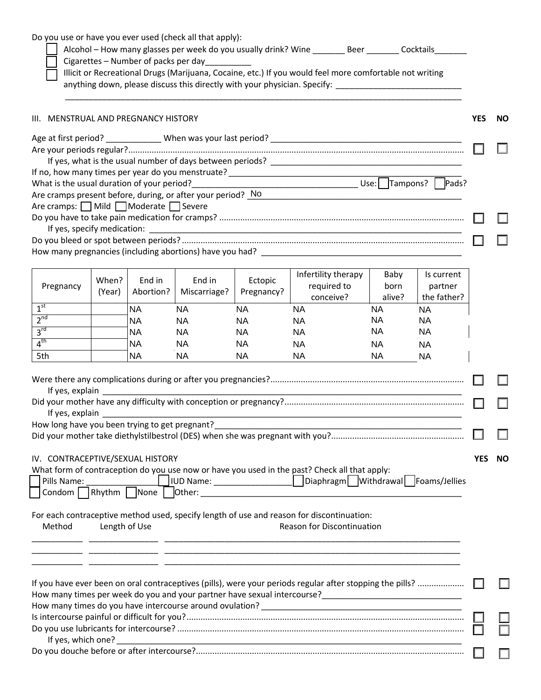|                                                |        | Cigarettes - Number of packs per day | Do you use or have you ever used (check all that apply): |            | Alcohol - How many glasses per week do you usually drink? Wine __________ Beer ________ Cocktails________<br>Illicit or Recreational Drugs (Marijuana, Cocaine, etc.) If you would feel more comfortable not writing |                     |                          |            |           |
|------------------------------------------------|--------|--------------------------------------|----------------------------------------------------------|------------|----------------------------------------------------------------------------------------------------------------------------------------------------------------------------------------------------------------------|---------------------|--------------------------|------------|-----------|
|                                                |        |                                      |                                                          |            | anything down, please discuss this directly with your physician. Specify: __________________________                                                                                                                 |                     |                          |            |           |
| III. MENSTRUAL AND PREGNANCY HISTORY           |        |                                      |                                                          |            |                                                                                                                                                                                                                      |                     |                          | <b>YES</b> | <b>NO</b> |
|                                                |        |                                      |                                                          |            |                                                                                                                                                                                                                      |                     |                          |            |           |
|                                                |        |                                      |                                                          |            |                                                                                                                                                                                                                      |                     |                          |            |           |
|                                                |        |                                      |                                                          |            |                                                                                                                                                                                                                      |                     |                          |            |           |
|                                                |        |                                      |                                                          |            | Are cramps present before, during, or after your period? No                                                                                                                                                          |                     |                          |            |           |
| Are cramps: Mild Moderate Severe               |        |                                      |                                                          |            |                                                                                                                                                                                                                      |                     |                          |            |           |
|                                                |        |                                      |                                                          |            |                                                                                                                                                                                                                      |                     |                          |            |           |
|                                                |        |                                      |                                                          |            |                                                                                                                                                                                                                      |                     |                          |            |           |
|                                                |        |                                      |                                                          |            |                                                                                                                                                                                                                      |                     |                          |            |           |
|                                                |        |                                      |                                                          |            |                                                                                                                                                                                                                      |                     |                          |            |           |
|                                                | When?  | End in                               | End in                                                   | Ectopic    | Infertility therapy                                                                                                                                                                                                  | Baby                | Is current               |            |           |
| Pregnancy                                      | (Year) | Abortion?                            | Miscarriage?                                             | Pregnancy? | required to                                                                                                                                                                                                          | born                | partner                  |            |           |
| 1 <sup>st</sup>                                |        | <b>NA</b>                            | <b>NA</b>                                                | <b>NA</b>  | conceive?<br><b>NA</b>                                                                                                                                                                                               | alive?<br><b>NA</b> | the father?<br><b>NA</b> |            |           |
| 2 <sup>nd</sup>                                |        | <b>NA</b>                            | <b>NA</b>                                                | <b>NA</b>  | <b>NA</b>                                                                                                                                                                                                            | NA                  | <b>NA</b>                |            |           |
| $3^{\text{rd}}$                                |        | NA.                                  | <b>NA</b>                                                | NA.        | <b>NA</b>                                                                                                                                                                                                            | NA                  | <b>NA</b>                |            |           |
| 4 <sup>th</sup>                                |        | <b>NA</b>                            | <b>NA</b>                                                | NA.        | <b>NA</b>                                                                                                                                                                                                            | NA                  | NA                       |            |           |
| 5th                                            |        | <b>NA</b>                            | <b>NA</b>                                                | <b>NA</b>  | <b>NA</b>                                                                                                                                                                                                            | <b>NA</b>           | <b>NA</b>                |            |           |
|                                                |        |                                      |                                                          |            |                                                                                                                                                                                                                      |                     |                          |            |           |
|                                                |        |                                      |                                                          |            |                                                                                                                                                                                                                      |                     |                          |            |           |
|                                                |        |                                      |                                                          |            |                                                                                                                                                                                                                      |                     |                          |            |           |
|                                                |        | If yes, explain                      |                                                          |            |                                                                                                                                                                                                                      |                     |                          |            |           |
| How long have you been trying to get pregnant? |        |                                      |                                                          |            |                                                                                                                                                                                                                      |                     |                          |            |           |
|                                                |        |                                      |                                                          |            |                                                                                                                                                                                                                      |                     |                          |            |           |
| IV. CONTRACEPTIVE/SEXUAL HISTORY               |        |                                      |                                                          |            |                                                                                                                                                                                                                      |                     |                          | <b>YES</b> | <b>NO</b> |
|                                                |        |                                      |                                                          |            | What form of contraception do you use now or have you used in the past? Check all that apply:                                                                                                                        |                     |                          |            |           |
| Pills Name:                                    |        |                                      |                                                          |            |                                                                                                                                                                                                                      |                     |                          |            |           |
|                                                |        |                                      |                                                          |            |                                                                                                                                                                                                                      |                     |                          |            |           |
|                                                |        |                                      |                                                          |            | For each contraceptive method used, specify length of use and reason for discontinuation:                                                                                                                            |                     |                          |            |           |
| Method                                         |        | Length of Use                        |                                                          |            | Reason for Discontinuation                                                                                                                                                                                           |                     |                          |            |           |
|                                                |        |                                      |                                                          |            |                                                                                                                                                                                                                      |                     |                          |            |           |
|                                                |        |                                      |                                                          |            |                                                                                                                                                                                                                      |                     |                          |            |           |
|                                                |        |                                      |                                                          |            |                                                                                                                                                                                                                      |                     |                          |            |           |
|                                                |        |                                      |                                                          |            | If you have ever been on oral contraceptives (pills), were your periods regular after stopping the pills?                                                                                                            |                     |                          |            |           |
|                                                |        |                                      |                                                          |            |                                                                                                                                                                                                                      |                     |                          |            |           |
|                                                |        |                                      |                                                          |            |                                                                                                                                                                                                                      |                     |                          |            |           |
|                                                |        |                                      |                                                          |            |                                                                                                                                                                                                                      |                     |                          |            |           |
| If yes, which one?                             |        |                                      |                                                          |            |                                                                                                                                                                                                                      |                     |                          |            |           |
|                                                |        |                                      |                                                          |            |                                                                                                                                                                                                                      |                     |                          |            |           |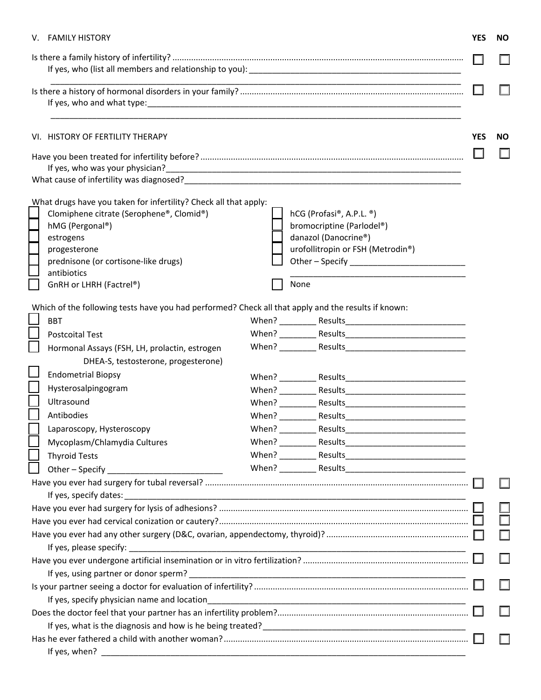| VI. HISTORY OF FERTILITY THERAPY<br><b>YES</b><br><b>NO</b><br>If yes, who was your physician?<br>What cause of infertility was diagnosed? Notified a state of the state of the state of the state of the state of the state of the state of the state of the state of the state of the state of the state of the state of the s<br>What drugs have you taken for infertility? Check all that apply:<br>Clomiphene citrate (Serophene®, Clomid®)<br>hCG (Profasi®, A.P.L. ®)<br>bromocriptine (Parlodel®)<br>hMG (Pergonal®)<br>danazol (Danocrine®)<br>estrogens<br>urofollitropin or FSH (Metrodin®)<br>progesterone<br>Other - Specify _____________________________<br>prednisone (or cortisone-like drugs)<br>antibiotics<br>None<br>GnRH or LHRH (Factrel®)<br>Which of the following tests have you had performed? Check all that apply and the results if known:<br><b>BBT</b><br><b>Postcoital Test</b><br>Hormonal Assays (FSH, LH, prolactin, estrogen<br>DHEA-S, testosterone, progesterone)<br><b>Endometrial Biopsy</b><br>Hysterosalpingogram<br>Ultrasound<br>Antibodies<br>Laparoscopy, Hysteroscopy<br>Mycoplasm/Chlamydia Cultures<br><b>Thyroid Tests</b><br>If yes, when? |  | V. FAMILY HISTORY |  |  | <b>YES</b> | <b>NO</b> |
|------------------------------------------------------------------------------------------------------------------------------------------------------------------------------------------------------------------------------------------------------------------------------------------------------------------------------------------------------------------------------------------------------------------------------------------------------------------------------------------------------------------------------------------------------------------------------------------------------------------------------------------------------------------------------------------------------------------------------------------------------------------------------------------------------------------------------------------------------------------------------------------------------------------------------------------------------------------------------------------------------------------------------------------------------------------------------------------------------------------------------------------------------------------------------------------------|--|-------------------|--|--|------------|-----------|
|                                                                                                                                                                                                                                                                                                                                                                                                                                                                                                                                                                                                                                                                                                                                                                                                                                                                                                                                                                                                                                                                                                                                                                                                |  |                   |  |  |            |           |
|                                                                                                                                                                                                                                                                                                                                                                                                                                                                                                                                                                                                                                                                                                                                                                                                                                                                                                                                                                                                                                                                                                                                                                                                |  |                   |  |  |            |           |
|                                                                                                                                                                                                                                                                                                                                                                                                                                                                                                                                                                                                                                                                                                                                                                                                                                                                                                                                                                                                                                                                                                                                                                                                |  |                   |  |  |            |           |
|                                                                                                                                                                                                                                                                                                                                                                                                                                                                                                                                                                                                                                                                                                                                                                                                                                                                                                                                                                                                                                                                                                                                                                                                |  |                   |  |  |            |           |
|                                                                                                                                                                                                                                                                                                                                                                                                                                                                                                                                                                                                                                                                                                                                                                                                                                                                                                                                                                                                                                                                                                                                                                                                |  |                   |  |  |            |           |
|                                                                                                                                                                                                                                                                                                                                                                                                                                                                                                                                                                                                                                                                                                                                                                                                                                                                                                                                                                                                                                                                                                                                                                                                |  |                   |  |  |            |           |
|                                                                                                                                                                                                                                                                                                                                                                                                                                                                                                                                                                                                                                                                                                                                                                                                                                                                                                                                                                                                                                                                                                                                                                                                |  |                   |  |  |            |           |
|                                                                                                                                                                                                                                                                                                                                                                                                                                                                                                                                                                                                                                                                                                                                                                                                                                                                                                                                                                                                                                                                                                                                                                                                |  |                   |  |  |            |           |
|                                                                                                                                                                                                                                                                                                                                                                                                                                                                                                                                                                                                                                                                                                                                                                                                                                                                                                                                                                                                                                                                                                                                                                                                |  |                   |  |  |            |           |
|                                                                                                                                                                                                                                                                                                                                                                                                                                                                                                                                                                                                                                                                                                                                                                                                                                                                                                                                                                                                                                                                                                                                                                                                |  |                   |  |  |            |           |
|                                                                                                                                                                                                                                                                                                                                                                                                                                                                                                                                                                                                                                                                                                                                                                                                                                                                                                                                                                                                                                                                                                                                                                                                |  |                   |  |  |            |           |
|                                                                                                                                                                                                                                                                                                                                                                                                                                                                                                                                                                                                                                                                                                                                                                                                                                                                                                                                                                                                                                                                                                                                                                                                |  |                   |  |  |            |           |
|                                                                                                                                                                                                                                                                                                                                                                                                                                                                                                                                                                                                                                                                                                                                                                                                                                                                                                                                                                                                                                                                                                                                                                                                |  |                   |  |  |            |           |
|                                                                                                                                                                                                                                                                                                                                                                                                                                                                                                                                                                                                                                                                                                                                                                                                                                                                                                                                                                                                                                                                                                                                                                                                |  |                   |  |  |            |           |
|                                                                                                                                                                                                                                                                                                                                                                                                                                                                                                                                                                                                                                                                                                                                                                                                                                                                                                                                                                                                                                                                                                                                                                                                |  |                   |  |  |            |           |
|                                                                                                                                                                                                                                                                                                                                                                                                                                                                                                                                                                                                                                                                                                                                                                                                                                                                                                                                                                                                                                                                                                                                                                                                |  |                   |  |  |            |           |
|                                                                                                                                                                                                                                                                                                                                                                                                                                                                                                                                                                                                                                                                                                                                                                                                                                                                                                                                                                                                                                                                                                                                                                                                |  |                   |  |  |            |           |
|                                                                                                                                                                                                                                                                                                                                                                                                                                                                                                                                                                                                                                                                                                                                                                                                                                                                                                                                                                                                                                                                                                                                                                                                |  |                   |  |  |            |           |
|                                                                                                                                                                                                                                                                                                                                                                                                                                                                                                                                                                                                                                                                                                                                                                                                                                                                                                                                                                                                                                                                                                                                                                                                |  |                   |  |  |            |           |
|                                                                                                                                                                                                                                                                                                                                                                                                                                                                                                                                                                                                                                                                                                                                                                                                                                                                                                                                                                                                                                                                                                                                                                                                |  |                   |  |  |            |           |
|                                                                                                                                                                                                                                                                                                                                                                                                                                                                                                                                                                                                                                                                                                                                                                                                                                                                                                                                                                                                                                                                                                                                                                                                |  |                   |  |  |            |           |
|                                                                                                                                                                                                                                                                                                                                                                                                                                                                                                                                                                                                                                                                                                                                                                                                                                                                                                                                                                                                                                                                                                                                                                                                |  |                   |  |  |            |           |
|                                                                                                                                                                                                                                                                                                                                                                                                                                                                                                                                                                                                                                                                                                                                                                                                                                                                                                                                                                                                                                                                                                                                                                                                |  |                   |  |  |            |           |
|                                                                                                                                                                                                                                                                                                                                                                                                                                                                                                                                                                                                                                                                                                                                                                                                                                                                                                                                                                                                                                                                                                                                                                                                |  |                   |  |  |            |           |
|                                                                                                                                                                                                                                                                                                                                                                                                                                                                                                                                                                                                                                                                                                                                                                                                                                                                                                                                                                                                                                                                                                                                                                                                |  |                   |  |  |            |           |
|                                                                                                                                                                                                                                                                                                                                                                                                                                                                                                                                                                                                                                                                                                                                                                                                                                                                                                                                                                                                                                                                                                                                                                                                |  |                   |  |  |            |           |
|                                                                                                                                                                                                                                                                                                                                                                                                                                                                                                                                                                                                                                                                                                                                                                                                                                                                                                                                                                                                                                                                                                                                                                                                |  |                   |  |  |            |           |
|                                                                                                                                                                                                                                                                                                                                                                                                                                                                                                                                                                                                                                                                                                                                                                                                                                                                                                                                                                                                                                                                                                                                                                                                |  |                   |  |  |            |           |
|                                                                                                                                                                                                                                                                                                                                                                                                                                                                                                                                                                                                                                                                                                                                                                                                                                                                                                                                                                                                                                                                                                                                                                                                |  |                   |  |  |            |           |
|                                                                                                                                                                                                                                                                                                                                                                                                                                                                                                                                                                                                                                                                                                                                                                                                                                                                                                                                                                                                                                                                                                                                                                                                |  |                   |  |  |            |           |
|                                                                                                                                                                                                                                                                                                                                                                                                                                                                                                                                                                                                                                                                                                                                                                                                                                                                                                                                                                                                                                                                                                                                                                                                |  |                   |  |  |            |           |
|                                                                                                                                                                                                                                                                                                                                                                                                                                                                                                                                                                                                                                                                                                                                                                                                                                                                                                                                                                                                                                                                                                                                                                                                |  |                   |  |  |            |           |
|                                                                                                                                                                                                                                                                                                                                                                                                                                                                                                                                                                                                                                                                                                                                                                                                                                                                                                                                                                                                                                                                                                                                                                                                |  |                   |  |  |            |           |
|                                                                                                                                                                                                                                                                                                                                                                                                                                                                                                                                                                                                                                                                                                                                                                                                                                                                                                                                                                                                                                                                                                                                                                                                |  |                   |  |  |            |           |
|                                                                                                                                                                                                                                                                                                                                                                                                                                                                                                                                                                                                                                                                                                                                                                                                                                                                                                                                                                                                                                                                                                                                                                                                |  |                   |  |  |            |           |
|                                                                                                                                                                                                                                                                                                                                                                                                                                                                                                                                                                                                                                                                                                                                                                                                                                                                                                                                                                                                                                                                                                                                                                                                |  |                   |  |  |            |           |
|                                                                                                                                                                                                                                                                                                                                                                                                                                                                                                                                                                                                                                                                                                                                                                                                                                                                                                                                                                                                                                                                                                                                                                                                |  |                   |  |  |            |           |
|                                                                                                                                                                                                                                                                                                                                                                                                                                                                                                                                                                                                                                                                                                                                                                                                                                                                                                                                                                                                                                                                                                                                                                                                |  |                   |  |  |            |           |
|                                                                                                                                                                                                                                                                                                                                                                                                                                                                                                                                                                                                                                                                                                                                                                                                                                                                                                                                                                                                                                                                                                                                                                                                |  |                   |  |  |            |           |
|                                                                                                                                                                                                                                                                                                                                                                                                                                                                                                                                                                                                                                                                                                                                                                                                                                                                                                                                                                                                                                                                                                                                                                                                |  |                   |  |  |            |           |
|                                                                                                                                                                                                                                                                                                                                                                                                                                                                                                                                                                                                                                                                                                                                                                                                                                                                                                                                                                                                                                                                                                                                                                                                |  |                   |  |  |            |           |
|                                                                                                                                                                                                                                                                                                                                                                                                                                                                                                                                                                                                                                                                                                                                                                                                                                                                                                                                                                                                                                                                                                                                                                                                |  |                   |  |  |            |           |
|                                                                                                                                                                                                                                                                                                                                                                                                                                                                                                                                                                                                                                                                                                                                                                                                                                                                                                                                                                                                                                                                                                                                                                                                |  |                   |  |  |            |           |
|                                                                                                                                                                                                                                                                                                                                                                                                                                                                                                                                                                                                                                                                                                                                                                                                                                                                                                                                                                                                                                                                                                                                                                                                |  |                   |  |  |            |           |
|                                                                                                                                                                                                                                                                                                                                                                                                                                                                                                                                                                                                                                                                                                                                                                                                                                                                                                                                                                                                                                                                                                                                                                                                |  |                   |  |  |            |           |
|                                                                                                                                                                                                                                                                                                                                                                                                                                                                                                                                                                                                                                                                                                                                                                                                                                                                                                                                                                                                                                                                                                                                                                                                |  |                   |  |  |            |           |
|                                                                                                                                                                                                                                                                                                                                                                                                                                                                                                                                                                                                                                                                                                                                                                                                                                                                                                                                                                                                                                                                                                                                                                                                |  |                   |  |  |            |           |